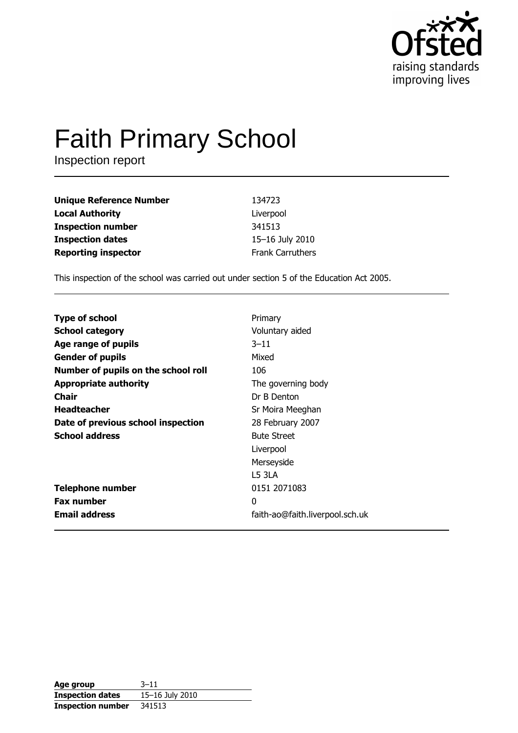

# **Faith Primary School**

Inspection report

| <b>Unique Reference Number</b> | 134723                  |
|--------------------------------|-------------------------|
| <b>Local Authority</b>         | Liverpool               |
| <b>Inspection number</b>       | 341513                  |
| <b>Inspection dates</b>        | 15-16 July 2010         |
| <b>Reporting inspector</b>     | <b>Frank Carruthers</b> |

This inspection of the school was carried out under section 5 of the Education Act 2005.

| <b>Type of school</b>               | Primary                         |
|-------------------------------------|---------------------------------|
| <b>School category</b>              | Voluntary aided                 |
| Age range of pupils                 | $3 - 11$                        |
| <b>Gender of pupils</b>             | Mixed                           |
| Number of pupils on the school roll | 106                             |
| <b>Appropriate authority</b>        | The governing body              |
| Chair                               | Dr B Denton                     |
| <b>Headteacher</b>                  | Sr Moira Meeghan                |
| Date of previous school inspection  | 28 February 2007                |
| <b>School address</b>               | <b>Bute Street</b>              |
|                                     | Liverpool                       |
|                                     | Merseyside                      |
|                                     | L5 3LA                          |
| <b>Telephone number</b>             | 0151 2071083                    |
| <b>Fax number</b>                   | $\Omega$                        |
| <b>Email address</b>                | faith-ao@faith.liverpool.sch.uk |

| Age group                | $3 - 11$        |
|--------------------------|-----------------|
| <b>Inspection dates</b>  | 15-16 July 2010 |
| <b>Inspection number</b> | 341513          |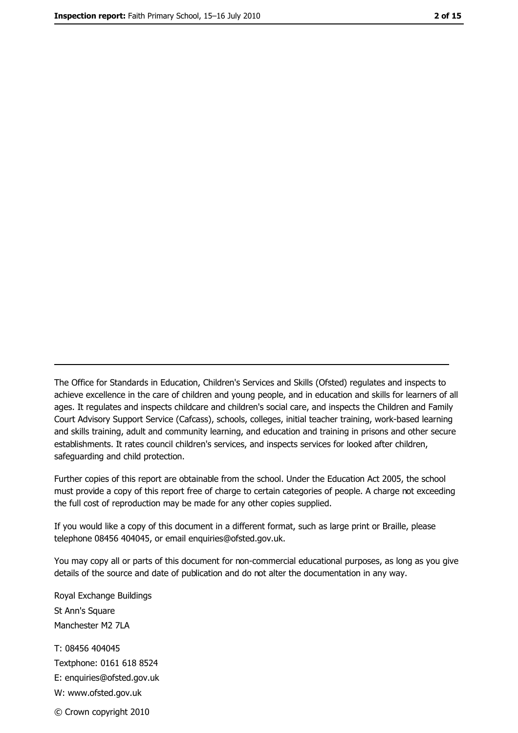The Office for Standards in Education, Children's Services and Skills (Ofsted) regulates and inspects to achieve excellence in the care of children and young people, and in education and skills for learners of all ages. It regulates and inspects childcare and children's social care, and inspects the Children and Family Court Advisory Support Service (Cafcass), schools, colleges, initial teacher training, work-based learning and skills training, adult and community learning, and education and training in prisons and other secure establishments. It rates council children's services, and inspects services for looked after children, safequarding and child protection.

Further copies of this report are obtainable from the school. Under the Education Act 2005, the school must provide a copy of this report free of charge to certain categories of people. A charge not exceeding the full cost of reproduction may be made for any other copies supplied.

If you would like a copy of this document in a different format, such as large print or Braille, please telephone 08456 404045, or email enquiries@ofsted.gov.uk.

You may copy all or parts of this document for non-commercial educational purposes, as long as you give details of the source and date of publication and do not alter the documentation in any way.

Royal Exchange Buildings St Ann's Square Manchester M2 7LA T: 08456 404045 Textphone: 0161 618 8524 E: enquiries@ofsted.gov.uk W: www.ofsted.gov.uk © Crown copyright 2010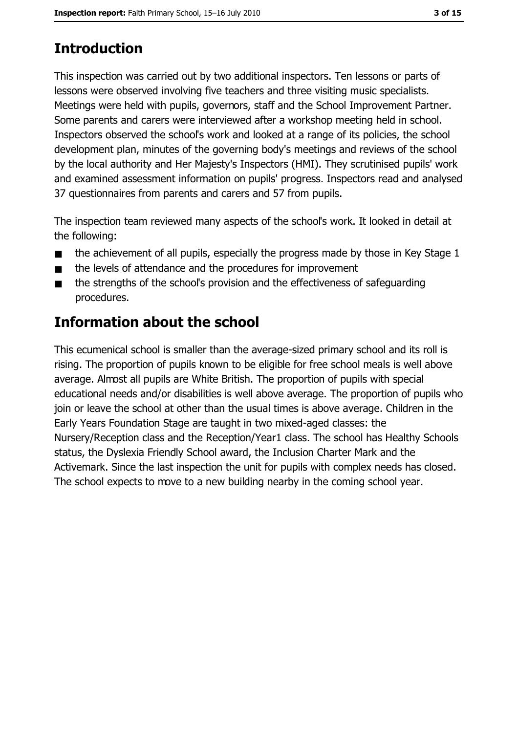# **Introduction**

This inspection was carried out by two additional inspectors. Ten lessons or parts of lessons were observed involving five teachers and three visiting music specialists. Meetings were held with pupils, governors, staff and the School Improvement Partner. Some parents and carers were interviewed after a workshop meeting held in school. Inspectors observed the school's work and looked at a range of its policies, the school development plan, minutes of the governing body's meetings and reviews of the school by the local authority and Her Majesty's Inspectors (HMI). They scrutinised pupils' work and examined assessment information on pupils' progress. Inspectors read and analysed 37 questionnaires from parents and carers and 57 from pupils.

The inspection team reviewed many aspects of the school's work. It looked in detail at the following:

- the achievement of all pupils, especially the progress made by those in Key Stage 1  $\blacksquare$
- the levels of attendance and the procedures for improvement  $\blacksquare$
- the strengths of the school's provision and the effectiveness of safeguarding  $\blacksquare$ procedures.

# Information about the school

This ecumenical school is smaller than the average-sized primary school and its roll is rising. The proportion of pupils known to be eligible for free school meals is well above average. Almost all pupils are White British. The proportion of pupils with special educational needs and/or disabilities is well above average. The proportion of pupils who join or leave the school at other than the usual times is above average. Children in the Early Years Foundation Stage are taught in two mixed-aged classes: the Nursery/Reception class and the Reception/Year1 class. The school has Healthy Schools status, the Dyslexia Friendly School award, the Inclusion Charter Mark and the Activemark. Since the last inspection the unit for pupils with complex needs has closed. The school expects to move to a new building nearby in the coming school year.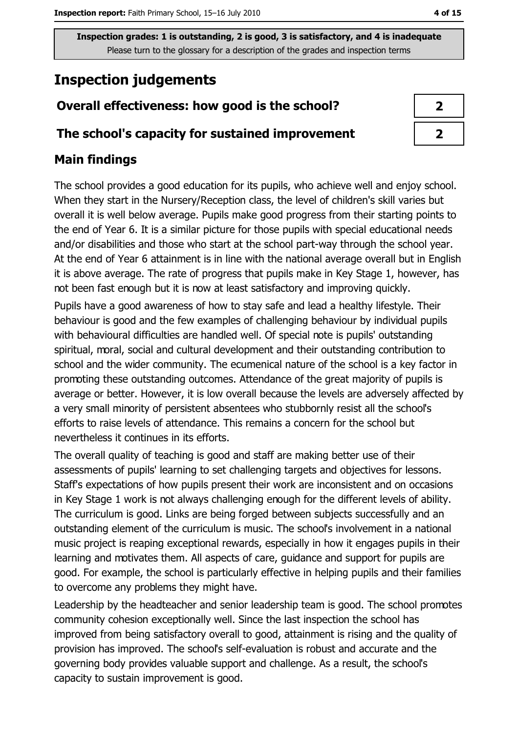# **Inspection judgements**

# Overall effectiveness: how good is the school?

## The school's capacity for sustained improvement

# **Main findings**

The school provides a good education for its pupils, who achieve well and enjoy school. When they start in the Nursery/Reception class, the level of children's skill varies but overall it is well below average. Pupils make good progress from their starting points to the end of Year 6. It is a similar picture for those pupils with special educational needs and/or disabilities and those who start at the school part-way through the school year. At the end of Year 6 attainment is in line with the national average overall but in English it is above average. The rate of progress that pupils make in Key Stage 1, however, has not been fast enough but it is now at least satisfactory and improving quickly.

Pupils have a good awareness of how to stay safe and lead a healthy lifestyle. Their behaviour is good and the few examples of challenging behaviour by individual pupils with behavioural difficulties are handled well. Of special note is pupils' outstanding spiritual, moral, social and cultural development and their outstanding contribution to school and the wider community. The ecumenical nature of the school is a key factor in promoting these outstanding outcomes. Attendance of the great majority of pupils is average or better. However, it is low overall because the levels are adversely affected by a very small minority of persistent absentees who stubbornly resist all the school's efforts to raise levels of attendance. This remains a concern for the school but nevertheless it continues in its efforts.

The overall quality of teaching is good and staff are making better use of their assessments of pupils' learning to set challenging targets and objectives for lessons. Staff's expectations of how pupils present their work are inconsistent and on occasions in Key Stage 1 work is not always challenging enough for the different levels of ability. The curriculum is good. Links are being forged between subjects successfully and an outstanding element of the curriculum is music. The school's involvement in a national music project is reaping exceptional rewards, especially in how it engages pupils in their learning and motivates them. All aspects of care, quidance and support for pupils are good. For example, the school is particularly effective in helping pupils and their families to overcome any problems they might have.

Leadership by the headteacher and senior leadership team is good. The school promotes community cohesion exceptionally well. Since the last inspection the school has improved from being satisfactory overall to good, attainment is rising and the quality of provision has improved. The school's self-evaluation is robust and accurate and the governing body provides valuable support and challenge. As a result, the school's capacity to sustain improvement is good.

| 1 |  |
|---|--|
|   |  |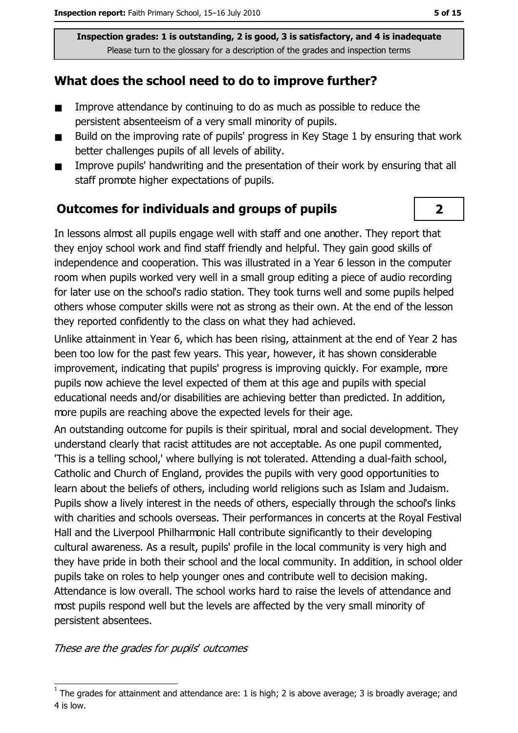# What does the school need to do to improve further?

- Improve attendance by continuing to do as much as possible to reduce the  $\blacksquare$ persistent absenteeism of a very small minority of pupils.
- Build on the improving rate of pupils' progress in Key Stage 1 by ensuring that work  $\blacksquare$ better challenges pupils of all levels of ability.
- Improve pupils' handwriting and the presentation of their work by ensuring that all  $\blacksquare$ staff promote higher expectations of pupils.

## **Outcomes for individuals and groups of pupils**

In lessons almost all pupils engage well with staff and one another. They report that they enjoy school work and find staff friendly and helpful. They gain good skills of independence and cooperation. This was illustrated in a Year 6 lesson in the computer room when pupils worked very well in a small group editing a piece of audio recording for later use on the school's radio station. They took turns well and some pupils helped others whose computer skills were not as strong as their own. At the end of the lesson they reported confidently to the class on what they had achieved.

Unlike attainment in Year 6, which has been rising, attainment at the end of Year 2 has been too low for the past few years. This year, however, it has shown considerable improvement, indicating that pupils' progress is improving quickly. For example, more pupils now achieve the level expected of them at this age and pupils with special educational needs and/or disabilities are achieving better than predicted. In addition, more pupils are reaching above the expected levels for their age.

An outstanding outcome for pupils is their spiritual, moral and social development. They understand clearly that racist attitudes are not acceptable. As one pupil commented, 'This is a telling school,' where bullying is not tolerated. Attending a dual-faith school, Catholic and Church of England, provides the pupils with very good opportunities to learn about the beliefs of others, including world religions such as Islam and Judaism. Pupils show a lively interest in the needs of others, especially through the school's links with charities and schools overseas. Their performances in concerts at the Royal Festival Hall and the Liverpool Philharmonic Hall contribute significantly to their developing cultural awareness. As a result, pupils' profile in the local community is very high and they have pride in both their school and the local community. In addition, in school older pupils take on roles to help younger ones and contribute well to decision making. Attendance is low overall. The school works hard to raise the levels of attendance and most pupils respond well but the levels are affected by the very small minority of persistent absentees.

These are the grades for pupils' outcomes

 $\overline{\mathbf{2}}$ 

The grades for attainment and attendance are: 1 is high; 2 is above average; 3 is broadly average; and 4 is low.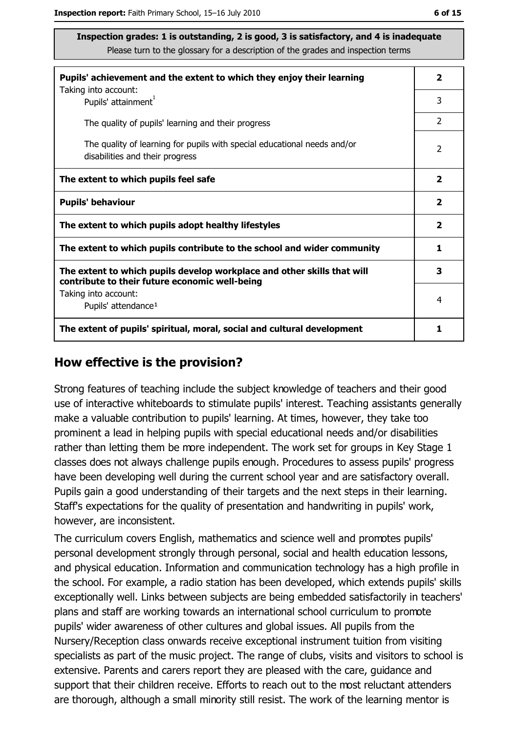| Pupils' achievement and the extent to which they enjoy their learning                                                     |                         |  |
|---------------------------------------------------------------------------------------------------------------------------|-------------------------|--|
| Taking into account:<br>Pupils' attainment <sup>1</sup>                                                                   | 3                       |  |
| The quality of pupils' learning and their progress                                                                        | $\mathcal{P}$           |  |
| The quality of learning for pupils with special educational needs and/or<br>disabilities and their progress               | $\overline{2}$          |  |
| The extent to which pupils feel safe                                                                                      | $\mathbf{2}$            |  |
| <b>Pupils' behaviour</b>                                                                                                  | $\overline{\mathbf{2}}$ |  |
| The extent to which pupils adopt healthy lifestyles                                                                       | $\overline{\mathbf{2}}$ |  |
| The extent to which pupils contribute to the school and wider community                                                   | 1                       |  |
| The extent to which pupils develop workplace and other skills that will<br>contribute to their future economic well-being | 3                       |  |
| Taking into account:<br>Pupils' attendance <sup>1</sup>                                                                   | 4                       |  |
| The extent of pupils' spiritual, moral, social and cultural development                                                   |                         |  |

#### How effective is the provision?

Strong features of teaching include the subject knowledge of teachers and their good use of interactive whiteboards to stimulate pupils' interest. Teaching assistants generally make a valuable contribution to pupils' learning. At times, however, they take too prominent a lead in helping pupils with special educational needs and/or disabilities rather than letting them be more independent. The work set for groups in Key Stage 1 classes does not always challenge pupils enough. Procedures to assess pupils' progress have been developing well during the current school year and are satisfactory overall. Pupils gain a good understanding of their targets and the next steps in their learning. Staff's expectations for the quality of presentation and handwriting in pupils' work, however, are inconsistent.

The curriculum covers English, mathematics and science well and promptes pupils' personal development strongly through personal, social and health education lessons, and physical education. Information and communication technology has a high profile in the school. For example, a radio station has been developed, which extends pupils' skills exceptionally well. Links between subjects are being embedded satisfactorily in teachers' plans and staff are working towards an international school curriculum to promote pupils' wider awareness of other cultures and global issues. All pupils from the Nursery/Reception class onwards receive exceptional instrument tuition from visiting specialists as part of the music project. The range of clubs, visits and visitors to school is extensive. Parents and carers report they are pleased with the care, guidance and support that their children receive. Efforts to reach out to the most reluctant attenders are thorough, although a small minority still resist. The work of the learning mentor is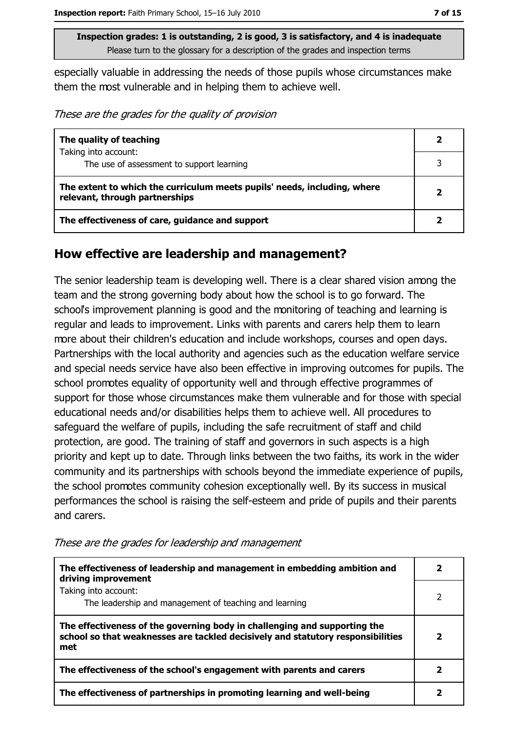especially valuable in addressing the needs of those pupils whose circumstances make them the most vulnerable and in helping them to achieve well.

These are the grades for the quality of provision

| The quality of teaching                                                                                    | 2 |
|------------------------------------------------------------------------------------------------------------|---|
| Taking into account:                                                                                       |   |
| The use of assessment to support learning                                                                  |   |
| The extent to which the curriculum meets pupils' needs, including, where<br>relevant, through partnerships | 2 |
| The effectiveness of care, guidance and support                                                            |   |

### How effective are leadership and management?

The senior leadership team is developing well. There is a clear shared vision among the team and the strong governing body about how the school is to go forward. The school's improvement planning is good and the monitoring of teaching and learning is regular and leads to improvement. Links with parents and carers help them to learn more about their children's education and include workshops, courses and open days. Partnerships with the local authority and agencies such as the education welfare service and special needs service have also been effective in improving outcomes for pupils. The school promotes equality of opportunity well and through effective programmes of support for those whose circumstances make them vulnerable and for those with special educational needs and/or disabilities helps them to achieve well. All procedures to safeguard the welfare of pupils, including the safe recruitment of staff and child protection, are good. The training of staff and governors in such aspects is a high priority and kept up to date. Through links between the two faiths, its work in the wider community and its partnerships with schools beyond the immediate experience of pupils, the school promotes community cohesion exceptionally well. By its success in musical performances the school is raising the self-esteem and pride of pupils and their parents and carers.

| The effectiveness of leadership and management in embedding ambition and<br>driving improvement                                                                     |   |
|---------------------------------------------------------------------------------------------------------------------------------------------------------------------|---|
| Taking into account:<br>The leadership and management of teaching and learning                                                                                      | 2 |
| The effectiveness of the governing body in challenging and supporting the<br>school so that weaknesses are tackled decisively and statutory responsibilities<br>met | 2 |
| The effectiveness of the school's engagement with parents and carers                                                                                                |   |
| The effectiveness of partnerships in promoting learning and well-being                                                                                              |   |

These are the grades for leadership and management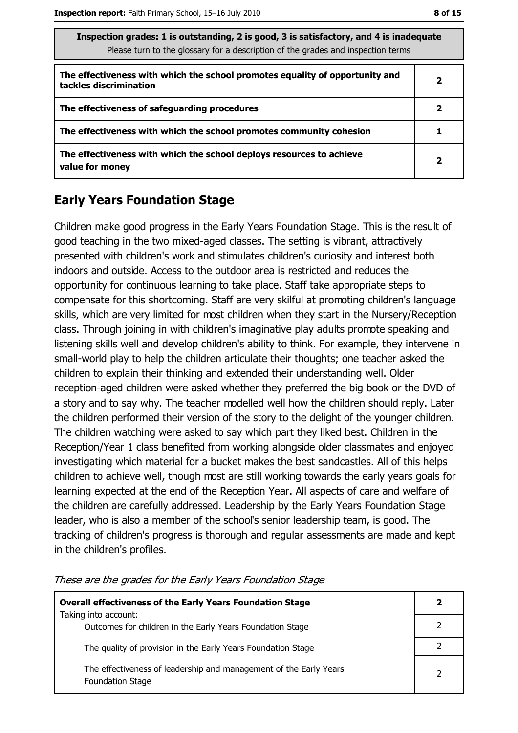| Thispection grades: 1 is outstanding, 2 is good, 3 is satisfactory, and 4 is inadequate<br>Please turn to the glossary for a description of the grades and inspection terms |              |  |
|-----------------------------------------------------------------------------------------------------------------------------------------------------------------------------|--------------|--|
| The effectiveness with which the school promotes equality of opportunity and<br>tackles discrimination                                                                      | 2            |  |
| The effectiveness of safeguarding procedures                                                                                                                                | 2            |  |
| The effectiveness with which the school promotes community cohesion                                                                                                         |              |  |
| The effectiveness with which the school deploys resources to achieve<br>value for money                                                                                     | $\mathbf{2}$ |  |

# **Early Years Foundation Stage**

Children make good progress in the Early Years Foundation Stage. This is the result of good teaching in the two mixed-aged classes. The setting is vibrant, attractively presented with children's work and stimulates children's curiosity and interest both indoors and outside. Access to the outdoor area is restricted and reduces the opportunity for continuous learning to take place. Staff take appropriate steps to compensate for this shortcoming. Staff are very skilful at promoting children's language skills, which are very limited for most children when they start in the Nursery/Reception class. Through joining in with children's imaginative play adults promote speaking and listening skills well and develop children's ability to think. For example, they intervene in small-world play to help the children articulate their thoughts; one teacher asked the children to explain their thinking and extended their understanding well. Older reception-aged children were asked whether they preferred the big book or the DVD of a story and to say why. The teacher modelled well how the children should reply. Later the children performed their version of the story to the delight of the younger children. The children watching were asked to say which part they liked best. Children in the Reception/Year 1 class benefited from working alongside older classmates and enjoyed investigating which material for a bucket makes the best sandcastles. All of this helps children to achieve well, though most are still working towards the early years goals for learning expected at the end of the Reception Year. All aspects of care and welfare of the children are carefully addressed. Leadership by the Early Years Foundation Stage leader, who is also a member of the school's senior leadership team, is good. The tracking of children's progress is thorough and regular assessments are made and kept in the children's profiles.

| <b>Overall effectiveness of the Early Years Foundation Stage</b>                             |  |
|----------------------------------------------------------------------------------------------|--|
| Taking into account:<br>Outcomes for children in the Early Years Foundation Stage            |  |
| The quality of provision in the Early Years Foundation Stage                                 |  |
| The effectiveness of leadership and management of the Early Years<br><b>Foundation Stage</b> |  |

These are the grades for the Early Years Foundation Stage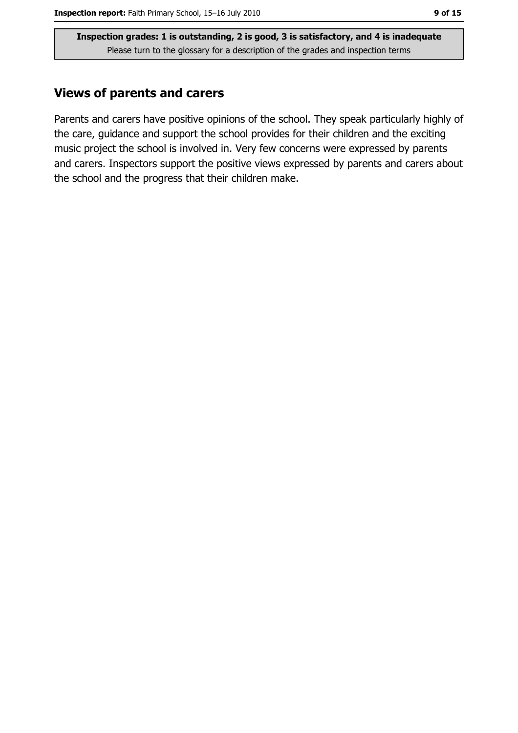## **Views of parents and carers**

Parents and carers have positive opinions of the school. They speak particularly highly of the care, guidance and support the school provides for their children and the exciting music project the school is involved in. Very few concerns were expressed by parents and carers. Inspectors support the positive views expressed by parents and carers about the school and the progress that their children make.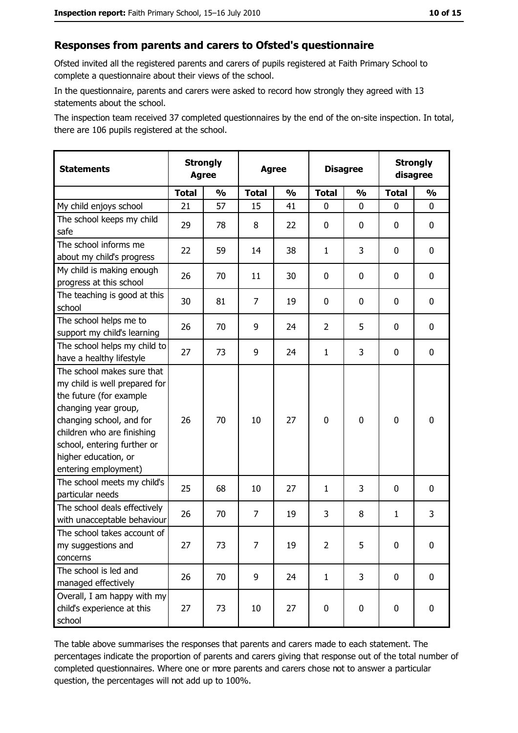#### Responses from parents and carers to Ofsted's questionnaire

Ofsted invited all the registered parents and carers of pupils registered at Faith Primary School to complete a questionnaire about their views of the school.

In the questionnaire, parents and carers were asked to record how strongly they agreed with 13 statements about the school.

The inspection team received 37 completed questionnaires by the end of the on-site inspection. In total, there are 106 pupils registered at the school.

| <b>Statements</b>                                                                                                                                                                                                                                       | <b>Strongly</b><br><b>Agree</b> |               |                | <b>Agree</b>  |                | <b>Disagree</b> |              | <b>Strongly</b><br>disagree |
|---------------------------------------------------------------------------------------------------------------------------------------------------------------------------------------------------------------------------------------------------------|---------------------------------|---------------|----------------|---------------|----------------|-----------------|--------------|-----------------------------|
|                                                                                                                                                                                                                                                         | <b>Total</b>                    | $\frac{0}{0}$ | <b>Total</b>   | $\frac{0}{0}$ | <b>Total</b>   | $\frac{0}{0}$   | <b>Total</b> | $\frac{0}{0}$               |
| My child enjoys school                                                                                                                                                                                                                                  | 21                              | 57            | 15             | 41            | $\mathbf{0}$   | $\mathbf{0}$    | $\mathbf{0}$ | 0                           |
| The school keeps my child<br>safe                                                                                                                                                                                                                       | 29                              | 78            | 8              | 22            | $\mathbf 0$    | 0               | 0            | $\mathbf 0$                 |
| The school informs me<br>about my child's progress                                                                                                                                                                                                      | 22                              | 59            | 14             | 38            | $\mathbf{1}$   | 3               | 0            | 0                           |
| My child is making enough<br>progress at this school                                                                                                                                                                                                    | 26                              | 70            | 11             | 30            | $\mathbf 0$    | 0               | 0            | 0                           |
| The teaching is good at this<br>school                                                                                                                                                                                                                  | 30                              | 81            | 7              | 19            | $\mathbf 0$    | 0               | 0            | 0                           |
| The school helps me to<br>support my child's learning                                                                                                                                                                                                   | 26                              | 70            | 9              | 24            | $\overline{2}$ | 5               | 0            | $\mathbf 0$                 |
| The school helps my child to<br>have a healthy lifestyle                                                                                                                                                                                                | 27                              | 73            | 9              | 24            | $\mathbf{1}$   | 3               | 0            | $\mathbf 0$                 |
| The school makes sure that<br>my child is well prepared for<br>the future (for example<br>changing year group,<br>changing school, and for<br>children who are finishing<br>school, entering further or<br>higher education, or<br>entering employment) | 26                              | 70            | 10             | 27            | $\mathbf 0$    | 0               | $\mathbf 0$  | $\mathbf 0$                 |
| The school meets my child's<br>particular needs                                                                                                                                                                                                         | 25                              | 68            | 10             | 27            | $\mathbf{1}$   | 3               | 0            | 0                           |
| The school deals effectively<br>with unacceptable behaviour                                                                                                                                                                                             | 26                              | 70            | $\overline{7}$ | 19            | 3              | 8               | $\mathbf{1}$ | 3                           |
| The school takes account of<br>my suggestions and<br>concerns                                                                                                                                                                                           | 27                              | 73            | 7              | 19            | $\overline{2}$ | 5               | 0            | $\bf{0}$                    |
| The school is led and<br>managed effectively                                                                                                                                                                                                            | 26                              | 70            | 9              | 24            | $\mathbf{1}$   | 3               | $\mathbf 0$  | $\mathbf 0$                 |
| Overall, I am happy with my<br>child's experience at this<br>school                                                                                                                                                                                     | 27                              | 73            | 10             | 27            | $\pmb{0}$      | $\pmb{0}$       | $\mathbf 0$  | $\mathbf 0$                 |

The table above summarises the responses that parents and carers made to each statement. The percentages indicate the proportion of parents and carers giving that response out of the total number of completed questionnaires. Where one or more parents and carers chose not to answer a particular question, the percentages will not add up to 100%.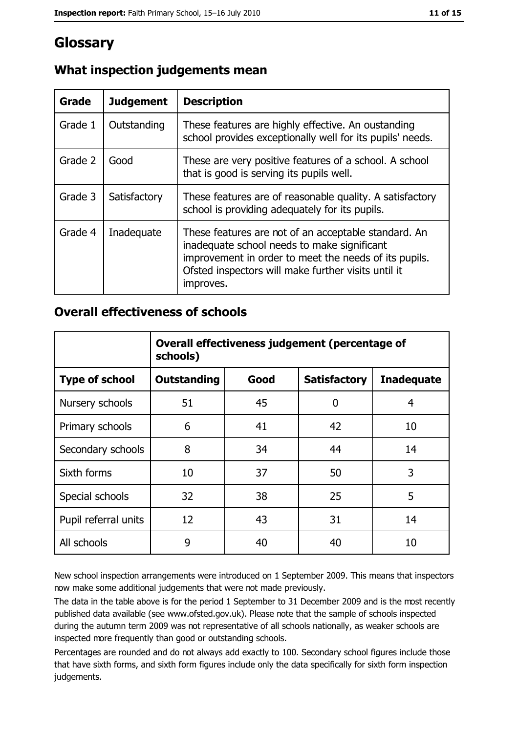# **Glossary**

| Grade   | <b>Judgement</b> | <b>Description</b>                                                                                                                                                                                                               |
|---------|------------------|----------------------------------------------------------------------------------------------------------------------------------------------------------------------------------------------------------------------------------|
| Grade 1 | Outstanding      | These features are highly effective. An oustanding<br>school provides exceptionally well for its pupils' needs.                                                                                                                  |
| Grade 2 | Good             | These are very positive features of a school. A school<br>that is good is serving its pupils well.                                                                                                                               |
| Grade 3 | Satisfactory     | These features are of reasonable quality. A satisfactory<br>school is providing adequately for its pupils.                                                                                                                       |
| Grade 4 | Inadequate       | These features are not of an acceptable standard. An<br>inadequate school needs to make significant<br>improvement in order to meet the needs of its pupils.<br>Ofsted inspectors will make further visits until it<br>improves. |

# What inspection judgements mean

## **Overall effectiveness of schools**

|                       | Overall effectiveness judgement (percentage of<br>schools) |      |                     |                   |  |
|-----------------------|------------------------------------------------------------|------|---------------------|-------------------|--|
| <b>Type of school</b> | <b>Outstanding</b>                                         | Good | <b>Satisfactory</b> | <b>Inadequate</b> |  |
| Nursery schools       | 51                                                         | 45   | 0                   | 4                 |  |
| Primary schools       | 6                                                          | 41   | 42                  | 10                |  |
| Secondary schools     | 8                                                          | 34   | 44                  | 14                |  |
| Sixth forms           | 10                                                         | 37   | 50                  | 3                 |  |
| Special schools       | 32                                                         | 38   | 25                  | 5                 |  |
| Pupil referral units  | 12                                                         | 43   | 31                  | 14                |  |
| All schools           | 9                                                          | 40   | 40                  | 10                |  |

New school inspection arrangements were introduced on 1 September 2009. This means that inspectors now make some additional judgements that were not made previously.

The data in the table above is for the period 1 September to 31 December 2009 and is the most recently published data available (see www.ofsted.gov.uk). Please note that the sample of schools inspected during the autumn term 2009 was not representative of all schools nationally, as weaker schools are inspected more frequently than good or outstanding schools.

Percentages are rounded and do not always add exactly to 100. Secondary school figures include those that have sixth forms, and sixth form figures include only the data specifically for sixth form inspection judgements.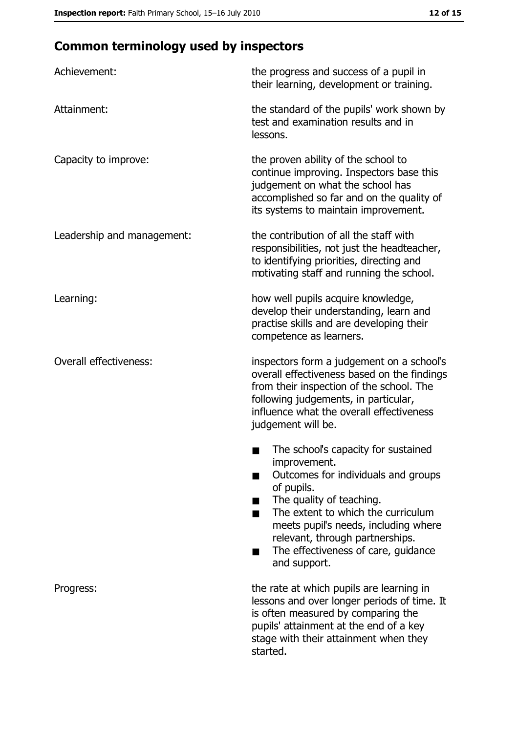# **Common terminology used by inspectors**

| Achievement:                  | the progress and success of a pupil in<br>their learning, development or training.                                                                                                                                                                                                                           |
|-------------------------------|--------------------------------------------------------------------------------------------------------------------------------------------------------------------------------------------------------------------------------------------------------------------------------------------------------------|
| Attainment:                   | the standard of the pupils' work shown by<br>test and examination results and in<br>lessons.                                                                                                                                                                                                                 |
| Capacity to improve:          | the proven ability of the school to<br>continue improving. Inspectors base this<br>judgement on what the school has<br>accomplished so far and on the quality of<br>its systems to maintain improvement.                                                                                                     |
| Leadership and management:    | the contribution of all the staff with<br>responsibilities, not just the headteacher,<br>to identifying priorities, directing and<br>motivating staff and running the school.                                                                                                                                |
| Learning:                     | how well pupils acquire knowledge,<br>develop their understanding, learn and<br>practise skills and are developing their<br>competence as learners.                                                                                                                                                          |
| <b>Overall effectiveness:</b> | inspectors form a judgement on a school's<br>overall effectiveness based on the findings<br>from their inspection of the school. The<br>following judgements, in particular,<br>influence what the overall effectiveness<br>judgement will be.                                                               |
|                               | The school's capacity for sustained<br>improvement.<br>Outcomes for individuals and groups<br>of pupils.<br>The quality of teaching.<br>The extent to which the curriculum<br>meets pupil's needs, including where<br>relevant, through partnerships.<br>The effectiveness of care, guidance<br>and support. |
| Progress:                     | the rate at which pupils are learning in<br>lessons and over longer periods of time. It<br>is often measured by comparing the<br>pupils' attainment at the end of a key<br>stage with their attainment when they<br>started.                                                                                 |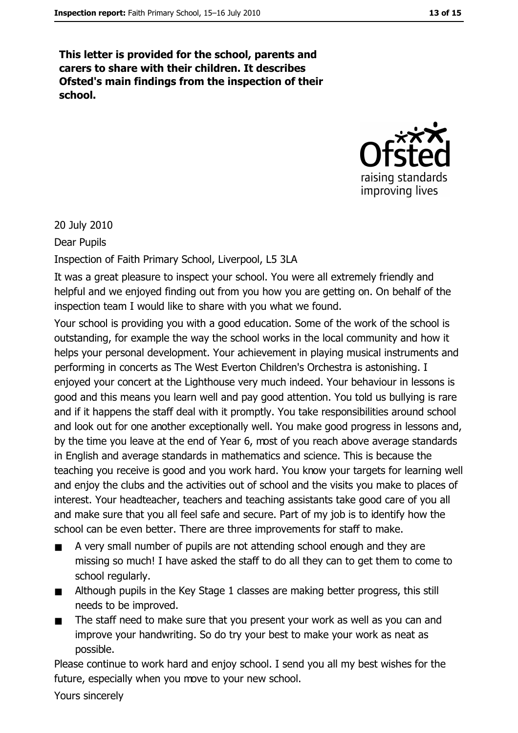This letter is provided for the school, parents and carers to share with their children. It describes Ofsted's main findings from the inspection of their school.



20 July 2010

Dear Pupils

Inspection of Faith Primary School, Liverpool, L5 3LA

It was a great pleasure to inspect your school. You were all extremely friendly and helpful and we enjoyed finding out from you how you are getting on. On behalf of the inspection team I would like to share with you what we found.

Your school is providing you with a good education. Some of the work of the school is outstanding, for example the way the school works in the local community and how it helps your personal development. Your achievement in playing musical instruments and performing in concerts as The West Everton Children's Orchestra is astonishing. I enjoyed your concert at the Lighthouse very much indeed. Your behaviour in lessons is good and this means you learn well and pay good attention. You told us bullying is rare and if it happens the staff deal with it promptly. You take responsibilities around school and look out for one another exceptionally well. You make good progress in lessons and, by the time you leave at the end of Year 6, most of you reach above average standards in English and average standards in mathematics and science. This is because the teaching you receive is good and you work hard. You know your targets for learning well and enjoy the clubs and the activities out of school and the visits you make to places of interest. Your headteacher, teachers and teaching assistants take good care of you all and make sure that you all feel safe and secure. Part of my job is to identify how the school can be even better. There are three improvements for staff to make.

- $\blacksquare$ A very small number of pupils are not attending school enough and they are missing so much! I have asked the staff to do all they can to get them to come to school regularly.
- Although pupils in the Key Stage 1 classes are making better progress, this still  $\blacksquare$ needs to be improved.
- The staff need to make sure that you present your work as well as you can and  $\blacksquare$ improve your handwriting. So do try your best to make your work as neat as possible.

Please continue to work hard and enjoy school. I send you all my best wishes for the future, especially when you move to your new school.

Yours sincerely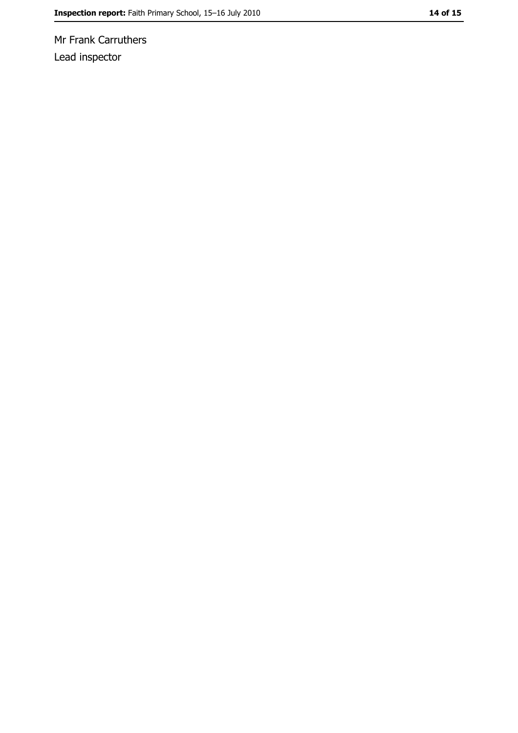Mr Frank Carruthers Lead inspector